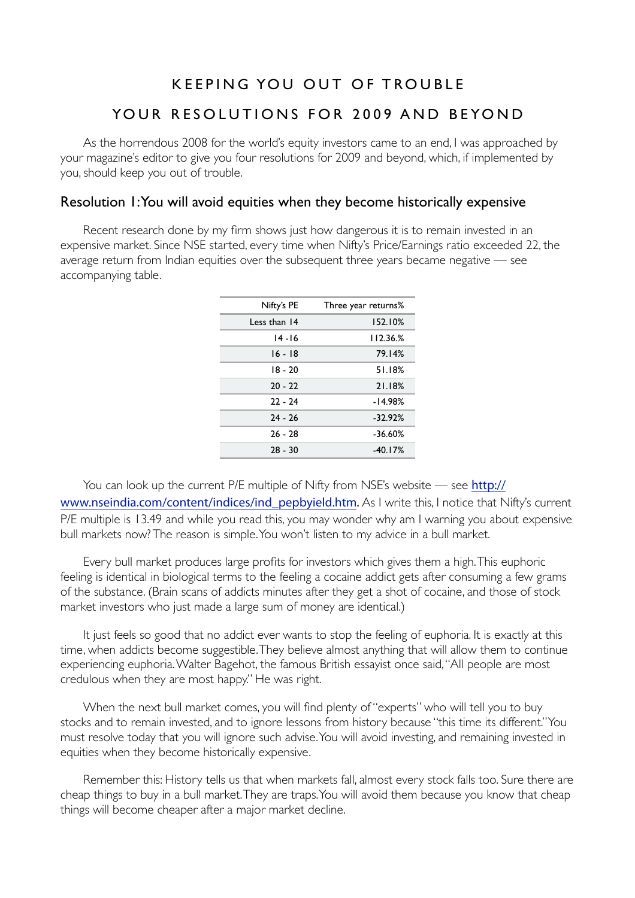# KEEPING YOU OUT OF TROUBLE YOUR RESOLUTIONS FOR 2009 AND BEYOND

As the horrendous 2008 for the world's equity investors came to an end, I was approached by your magazine's editor to give you four resolutions for 2009 and beyond, which, if implemented by you, should keep you out of trouble.

## Resolution 1: You will avoid equities when they become historically expensive

Recent research done by my firm shows just how dangerous it is to remain invested in an expensive market. Since NSE started, every time when Nifty's Price/Earnings ratio exceeded 22, the average return from Indian equities over the subsequent three years became negative — see accompanying table.

| Three year returns% | Nifty's PE   |
|---------------------|--------------|
| 152.10%             | Less than 14 |
| 112.36%             | $14 - 16$    |
| 79.14%              | $16 - 18$    |
| 51.18%              | $18 - 20$    |
| 21.18%              | $20 - 22$    |
| $-14.98%$           | $22 - 24$    |
| $-32.92\%$          | $24 - 26$    |
| $-36.60%$           | $26 - 28$    |
| $-40.17%$           | $28 - 30$    |
|                     |              |

You can look up the current P/E multiple of Nifty from NSE's website — see [http://](http://www.nseindia.com/content/indices/ind_pepbyield.htm) [www.nseindia.com/content/indices/ind\\_pepbyield.htm](http://www.nseindia.com/content/indices/ind_pepbyield.htm). As I write this, I notice that Nifty's current P/E multiple is 13.49 and while you read this, you may wonder why am I warning you about expensive bull markets now? The reason is simple. You won't listen to my advice in a bull market.

Every bull market produces large profits for investors which gives them a high. This euphoric feeling is identical in biological terms to the feeling a cocaine addict gets after consuming a few grams of the substance. (Brain scans of addicts minutes after they get a shot of cocaine, and those of stock market investors who just made a large sum of money are identical.)

It just feels so good that no addict ever wants to stop the feeling of euphoria. It is exactly at this time, when addicts become suggestible. They believe almost anything that will allow them to continue experiencing euphoria. Walter Bagehot, the famous British essayist once said, "All people are most credulous when they are most happy." He was right.

When the next bull market comes, you will find plenty of "experts" who will tell you to buy stocks and to remain invested, and to ignore lessons from history because "this time its different." You must resolve today that you will ignore such advise. You will avoid investing, and remaining invested in equities when they become historically expensive.

Remember this: History tells us that when markets fall, almost every stock falls too. Sure there are cheap things to buy in a bull market. They are traps. You will avoid them because you know that cheap things will become cheaper after a major market decline.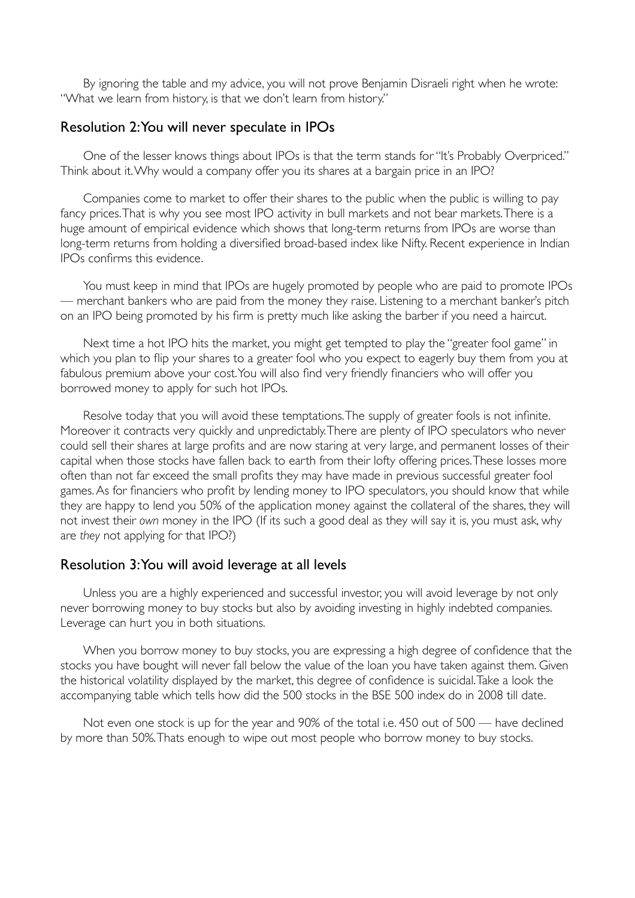By ignoring the table and my advice, you will not prove Benjamin Disraeli right when he wrote: "What we learn from history, is that we don't learn from history."

#### Resolution 2: You will never speculate in IPOs

One of the lesser knows things about IPOs is that the term stands for "It's Probably Overpriced." Think about it. Why would a company offer you its shares at a bargain price in an IPO?

Companies come to market to offer their shares to the public when the public is willing to pay fancy prices. That is why you see most IPO activity in bull markets and not bear markets. There is a huge amount of empirical evidence which shows that long-term returns from IPOs are worse than long-term returns from holding a diversified broad-based index like Nifty. Recent experience in Indian IPOs confirms this evidence.

You must keep in mind that IPOs are hugely promoted by people who are paid to promote IPOs — merchant bankers who are paid from the money they raise. Listening to a merchant banker's pitch on an IPO being promoted by his firm is pretty much like asking the barber if you need a haircut.

Next time a hot IPO hits the market, you might get tempted to play the "greater fool game" in which you plan to flip your shares to a greater fool who you expect to eagerly buy them from you at fabulous premium above your cost. You will also find very friendly financiers who will offer you borrowed money to apply for such hot IPOs.

Resolve today that you will avoid these temptations. The supply of greater fools is not infinite. Moreover it contracts very quickly and unpredictably. There are plenty of IPO speculators who never could sell their shares at large profits and are now staring at very large, and permanent losses of their capital when those stocks have fallen back to earth from their lofty offering prices. These losses more often than not far exceed the small profits they may have made in previous successful greater fool games. As for financiers who profit by lending money to IPO speculators, you should know that while they are happy to lend you 50% of the application money against the collateral of the shares, they will not invest their *own* money in the IPO (If its such a good deal as they will say it is, you must ask, why are *they* not applying for that IPO?)

#### Resolution 3: You will avoid leverage at all levels

Unless you are a highly experienced and successful investor, you will avoid leverage by not only never borrowing money to buy stocks but also by avoiding investing in highly indebted companies. Leverage can hurt you in both situations.

When you borrow money to buy stocks, you are expressing a high degree of confidence that the stocks you have bought will never fall below the value of the loan you have taken against them. Given the historical volatility displayed by the market, this degree of confidence is suicidal. Take a look the accompanying table which tells how did the 500 stocks in the BSE 500 index do in 2008 till date.

Not even one stock is up for the year and 90% of the total i.e. 450 out of 500 — have declined by more than 50%. Thats enough to wipe out most people who borrow money to buy stocks.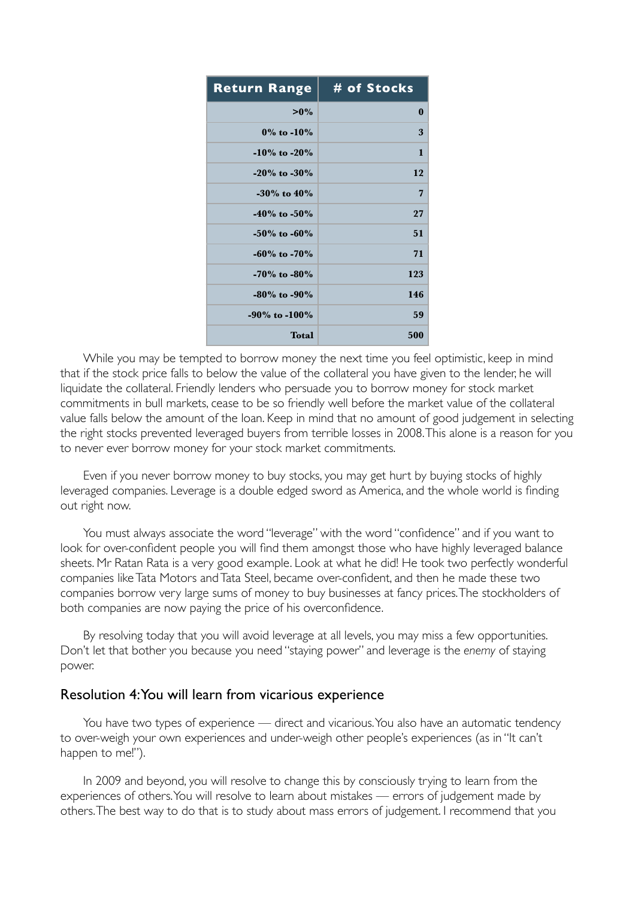| <b>Return Range</b> | # of Stocks |
|---------------------|-------------|
| $>0\%$              | $\bf{0}$    |
| $0\%$ to $-10\%$    | 3           |
| $-10\%$ to $-20\%$  | 1           |
| $-20\%$ to $-30\%$  | 12          |
| $-30\%$ to $40\%$   | 7           |
| $-40\%$ to $-50\%$  | 27          |
| $-50\%$ to $-60\%$  | 51          |
| $-60\%$ to $-70\%$  | 71          |
| $-70\%$ to $-80\%$  | 123         |
| $-80\%$ to $-90\%$  | 146         |
| $-90\%$ to $-100\%$ | 59          |
| <b>Total</b>        | 500         |

While you may be tempted to borrow money the next time you feel optimistic, keep in mind that if the stock price falls to below the value of the collateral you have given to the lender, he will liquidate the collateral. Friendly lenders who persuade you to borrow money for stock market commitments in bull markets, cease to be so friendly well before the market value of the collateral value falls below the amount of the loan. Keep in mind that no amount of good judgement in selecting the right stocks prevented leveraged buyers from terrible losses in 2008. This alone is a reason for you to never ever borrow money for your stock market commitments.

Even if you never borrow money to buy stocks, you may get hurt by buying stocks of highly leveraged companies. Leverage is a double edged sword as America, and the whole world is finding out right now.

You must always associate the word "leverage" with the word "confidence" and if you want to look for over-confident people you will find them amongst those who have highly leveraged balance sheets. Mr Ratan Rata is a very good example. Look at what he did! He took two perfectly wonderful companies like Tata Motors and Tata Steel, became over-confident, and then he made these two companies borrow very large sums of money to buy businesses at fancy prices. The stockholders of both companies are now paying the price of his overconfidence.

By resolving today that you will avoid leverage at all levels, you may miss a few opportunities. Don't let that bother you because you need "staying power" and leverage is the *enemy* of staying power.

### Resolution 4: You will learn from vicarious experience

You have two types of experience — direct and vicarious. You also have an automatic tendency to over-weigh your own experiences and under-weigh other people's experiences (as in "It can't happen to me!").

In 2009 and beyond, you will resolve to change this by consciously trying to learn from the experiences of others. You will resolve to learn about mistakes — errors of judgement made by others. The best way to do that is to study about mass errors of judgement. I recommend that you